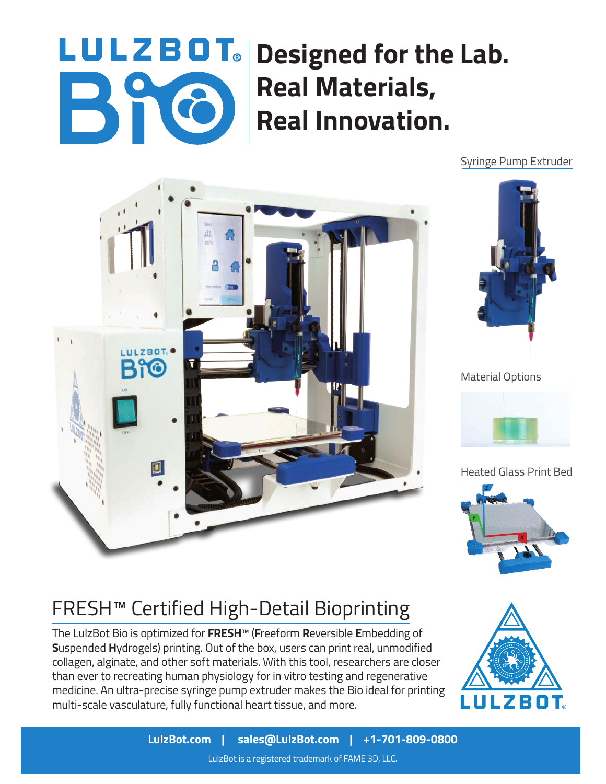## LULZBOT. Designed for the Lab. **Real Materials,**  Bho **Real Innovation.**

Syringe Pump Extruder





Material Options



Heated Glass Print Bed



## FRESH™ Certified High-Detail Bioprinting

The LulzBot Bio is optimized for **FRESH**™ (**F**reeform **R**eversible **E**mbedding of **S**uspended **H**ydrogels) printing. Out of the box, users can print real, unmodified collagen, alginate, and other soft materials. With this tool, researchers are closer than ever to recreating human physiology for in vitro testing and regenerative medicine. An ultra-precise syringe pump extruder makes the Bio ideal for printing multi-scale vasculature, fully functional heart tissue, and more.